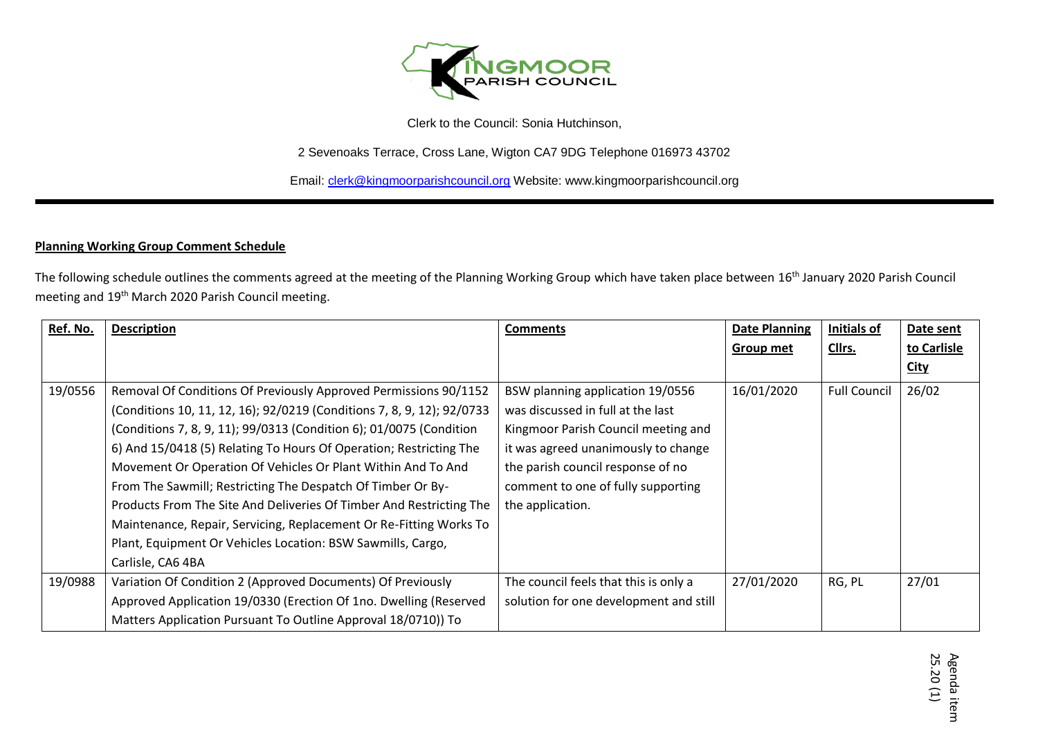

Clerk to the Council: Sonia Hutchinson,

2 Sevenoaks Terrace, Cross Lane, Wigton CA7 9DG Telephone 016973 43702

Email[: clerk@kingmoorparishcouncil.org](mailto:clerk@kingmoorparishcouncil.org) Website: www.kingmoorparishcouncil.org

## **Planning Working Group Comment Schedule**

The following schedule outlines the comments agreed at the meeting of the Planning Working Group which have taken place between 16<sup>th</sup> January 2020 Parish Council meeting and 19th March 2020 Parish Council meeting.

| Ref. No. | <b>Description</b>                                                     | <b>Comments</b>                        | <b>Date Planning</b> | Initials of         | Date sent   |
|----------|------------------------------------------------------------------------|----------------------------------------|----------------------|---------------------|-------------|
|          |                                                                        |                                        | Group met            | Cllrs.              | to Carlisle |
|          |                                                                        |                                        |                      |                     | <b>City</b> |
| 19/0556  | Removal Of Conditions Of Previously Approved Permissions 90/1152       | BSW planning application 19/0556       | 16/01/2020           | <b>Full Council</b> | 26/02       |
|          | (Conditions 10, 11, 12, 16); 92/0219 (Conditions 7, 8, 9, 12); 92/0733 | was discussed in full at the last      |                      |                     |             |
|          | (Conditions 7, 8, 9, 11); 99/0313 (Condition 6); 01/0075 (Condition    | Kingmoor Parish Council meeting and    |                      |                     |             |
|          | 6) And 15/0418 (5) Relating To Hours Of Operation; Restricting The     | it was agreed unanimously to change    |                      |                     |             |
|          | Movement Or Operation Of Vehicles Or Plant Within And To And           | the parish council response of no      |                      |                     |             |
|          | From The Sawmill; Restricting The Despatch Of Timber Or By-            | comment to one of fully supporting     |                      |                     |             |
|          | Products From The Site And Deliveries Of Timber And Restricting The    | the application.                       |                      |                     |             |
|          | Maintenance, Repair, Servicing, Replacement Or Re-Fitting Works To     |                                        |                      |                     |             |
|          | Plant, Equipment Or Vehicles Location: BSW Sawmills, Cargo,            |                                        |                      |                     |             |
|          | Carlisle, CA6 4BA                                                      |                                        |                      |                     |             |
| 19/0988  | Variation Of Condition 2 (Approved Documents) Of Previously            | The council feels that this is only a  | 27/01/2020           | RG, PL              | 27/01       |
|          | Approved Application 19/0330 (Erection Of 1no. Dwelling (Reserved      | solution for one development and still |                      |                     |             |
|          | Matters Application Pursuant To Outline Approval 18/0710)) To          |                                        |                      |                     |             |

Տ<br>տ Agenda item .20 (1)